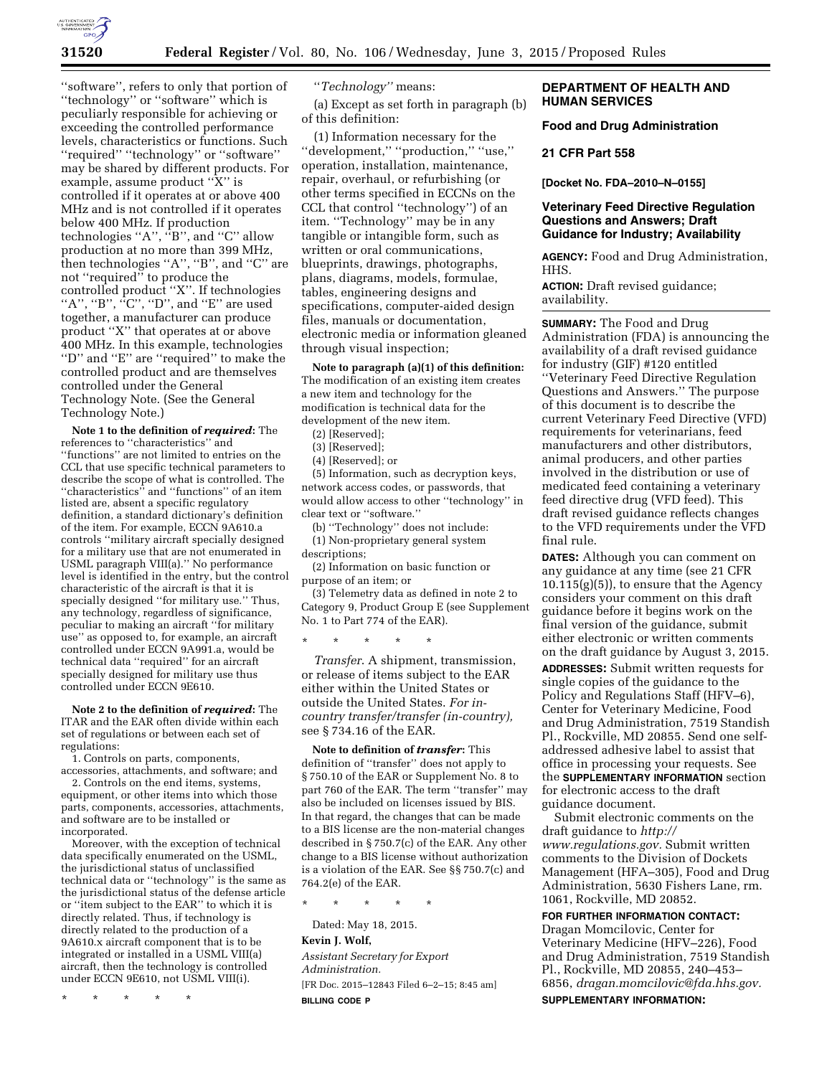

''software'', refers to only that portion of ''technology'' or ''software'' which is peculiarly responsible for achieving or exceeding the controlled performance levels, characteristics or functions. Such ''required'' ''technology'' or ''software'' may be shared by different products. For example, assume product ''X'' is controlled if it operates at or above 400 MHz and is not controlled if it operates below 400 MHz. If production technologies ''A'', ''B'', and ''C'' allow production at no more than 399 MHz, then technologies ''A'', ''B'', and ''C'' are not ''required'' to produce the controlled product ''X''. If technologies "A", "B",  ${}^{i}$ C", "D", and "E" are used together, a manufacturer can produce product ''X'' that operates at or above 400 MHz. In this example, technologies "D" and "E" are "required" to make the controlled product and are themselves controlled under the General Technology Note. (See the General Technology Note.)

**Note 1 to the definition of** *required***:** The references to ''characteristics'' and ''functions'' are not limited to entries on the CCL that use specific technical parameters to describe the scope of what is controlled. The ''characteristics'' and ''functions'' of an item listed are, absent a specific regulatory definition, a standard dictionary's definition of the item. For example, ECCN 9A610.a controls ''military aircraft specially designed for a military use that are not enumerated in USML paragraph VIII(a).'' No performance level is identified in the entry, but the control characteristic of the aircraft is that it is specially designed ''for military use.'' Thus, any technology, regardless of significance, peculiar to making an aircraft ''for military use'' as opposed to, for example, an aircraft controlled under ECCN 9A991.a, would be technical data ''required'' for an aircraft specially designed for military use thus controlled under ECCN 9E610.

**Note 2 to the definition of** *required***:** The ITAR and the EAR often divide within each set of regulations or between each set of regulations:

1. Controls on parts, components, accessories, attachments, and software; and

2. Controls on the end items, systems, equipment, or other items into which those parts, components, accessories, attachments, and software are to be installed or incorporated.

Moreover, with the exception of technical data specifically enumerated on the USML, the jurisdictional status of unclassified technical data or ''technology'' is the same as the jurisdictional status of the defense article or ''item subject to the EAR'' to which it is directly related. Thus, if technology is directly related to the production of a 9A610.x aircraft component that is to be integrated or installed in a USML VIII(a) aircraft, then the technology is controlled under ECCN 9E610, not USML VIII(i).

\* \* \* \* \*

''*Technology''* means:

(a) Except as set forth in paragraph (b) of this definition:

(1) Information necessary for the ''development,'' ''production,'' ''use,'' operation, installation, maintenance, repair, overhaul, or refurbishing (or other terms specified in ECCNs on the CCL that control ''technology'') of an item. ''Technology'' may be in any tangible or intangible form, such as written or oral communications, blueprints, drawings, photographs, plans, diagrams, models, formulae, tables, engineering designs and specifications, computer-aided design files, manuals or documentation, electronic media or information gleaned through visual inspection;

**Note to paragraph (a)(1) of this definition:**  The modification of an existing item creates a new item and technology for the modification is technical data for the development of the new item.

(2) [Reserved];

(3) [Reserved];

(4) [Reserved]; or

(5) Information, such as decryption keys, network access codes, or passwords, that would allow access to other ''technology'' in clear text or ''software.''

(b) ''Technology'' does not include:

(1) Non-proprietary general system descriptions;

(2) Information on basic function or purpose of an item; or

(3) Telemetry data as defined in note 2 to Category 9, Product Group E (see Supplement No. 1 to Part 774 of the EAR).

\* \* \* \* \*

*Transfer*. A shipment, transmission, or release of items subject to the EAR either within the United States or outside the United States. *For incountry transfer/transfer (in-country),*  see § 734.16 of the EAR.

**Note to definition of** *transfer***:** This definition of ''transfer'' does not apply to § 750.10 of the EAR or Supplement No. 8 to part 760 of the EAR. The term ''transfer'' may also be included on licenses issued by BIS. In that regard, the changes that can be made to a BIS license are the non-material changes described in § 750.7(c) of the EAR. Any other change to a BIS license without authorization is a violation of the EAR. See §§ 750.7(c) and 764.2(e) of the EAR.

\* \* \* \* \*

Dated: May 18, 2015.

## **Kevin J. Wolf,**

*Assistant Secretary for Export Administration.*  [FR Doc. 2015–12843 Filed 6–2–15; 8:45 am] **BILLING CODE P** 

### **DEPARTMENT OF HEALTH AND HUMAN SERVICES**

**Food and Drug Administration** 

#### **21 CFR Part 558**

**[Docket No. FDA–2010–N–0155]** 

# **Veterinary Feed Directive Regulation Questions and Answers; Draft Guidance for Industry; Availability**

**AGENCY:** Food and Drug Administration, HHS.

**ACTION:** Draft revised guidance; availability.

**SUMMARY:** The Food and Drug Administration (FDA) is announcing the availability of a draft revised guidance for industry (GIF) #120 entitled ''Veterinary Feed Directive Regulation Questions and Answers.'' The purpose of this document is to describe the current Veterinary Feed Directive (VFD) requirements for veterinarians, feed manufacturers and other distributors, animal producers, and other parties involved in the distribution or use of medicated feed containing a veterinary feed directive drug (VFD feed). This draft revised guidance reflects changes to the VFD requirements under the VFD final rule.

**DATES:** Although you can comment on any guidance at any time (see 21 CFR  $10.115(g)(5)$ , to ensure that the Agency considers your comment on this draft guidance before it begins work on the final version of the guidance, submit either electronic or written comments on the draft guidance by August 3, 2015.

**ADDRESSES:** Submit written requests for single copies of the guidance to the Policy and Regulations Staff (HFV–6), Center for Veterinary Medicine, Food and Drug Administration, 7519 Standish Pl., Rockville, MD 20855. Send one selfaddressed adhesive label to assist that office in processing your requests. See the **SUPPLEMENTARY INFORMATION** section for electronic access to the draft guidance document.

Submit electronic comments on the draft guidance to *[http://](http://www.regulations.gov) [www.regulations.gov.](http://www.regulations.gov)* Submit written comments to the Division of Dockets Management (HFA–305), Food and Drug Administration, 5630 Fishers Lane, rm. 1061, Rockville, MD 20852.

**FOR FURTHER INFORMATION CONTACT:**  Dragan Momcilovic, Center for Veterinary Medicine (HFV–226), Food and Drug Administration, 7519 Standish Pl., Rockville, MD 20855, 240–453– 6856, *[dragan.momcilovic@fda.hhs.gov.](mailto:dragan.momcilovic@fda.hhs.gov)*  **SUPPLEMENTARY INFORMATION:**